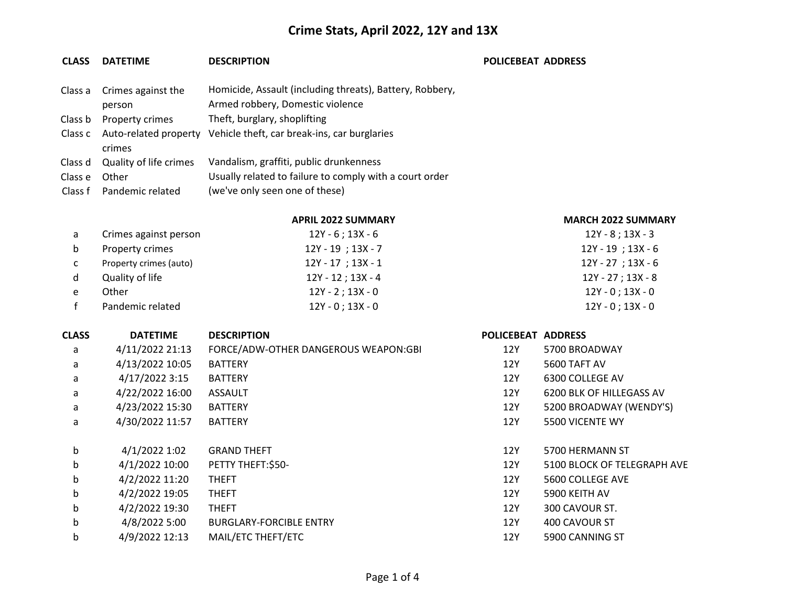### **CLASS DATETIME DESCRIPTION POLICEBEAT ADDRESS**

|         | Class a Crimes against the    | Homicide, Assault (including threats), Battery, Robbery, |
|---------|-------------------------------|----------------------------------------------------------|
|         | person                        | Armed robbery, Domestic violence                         |
| Class b | Property crimes               | Theft, burglary, shoplifting                             |
|         | Class c Auto-related property | Vehicle theft, car break-ins, car burglaries             |
|         | crimes                        |                                                          |
| Class d | Quality of life crimes        | Vandalism, graffiti, public drunkenness                  |
| Class e | Other                         | Usually related to failure to comply with a court order  |
|         | Class f Pandemic related      | (we've only seen one of these)                           |

**APRIL 2022 SUMMARY MARCH 2022 SUMMARY**

|--|

| a  | Crimes against person  | 12Y - 6 ; 13X - 6      | 12Y - 8 ; 13X - 3      |
|----|------------------------|------------------------|------------------------|
| b  | Property crimes        | $12Y - 19$ ; $13X - 7$ | $12Y - 19$ ; $13X - 6$ |
| C. | Property crimes (auto) | $12Y - 17$ ; 13X - 1   | 12Y - 27 ; 13X - 6     |
| d  | Quality of life        | 12Y - 12 ; 13X - 4     | 12Y - 27 ; 13X - 8     |
| e  | Other                  | 12Y - 2 ; 13X - 0      | 12Y - 0 : 13X - 0      |
|    | Pandemic related       | $12Y - 0$ ; $13X - 0$  | $12Y - 0$ ; 13X - 0    |

| <b>CLASS</b> | <b>DATETIME</b> | <b>DESCRIPTION</b>                   | POLICEBEAT ADDRESS |                             |
|--------------|-----------------|--------------------------------------|--------------------|-----------------------------|
| a            | 4/11/2022 21:13 | FORCE/ADW-OTHER DANGEROUS WEAPON:GBI | 12Y                | 5700 BROADWAY               |
| a            | 4/13/2022 10:05 | <b>BATTERY</b>                       | 12Y                | 5600 TAFT AV                |
| a            | 4/17/2022 3:15  | <b>BATTERY</b>                       | 12Y                | 6300 COLLEGE AV             |
| a            | 4/22/2022 16:00 | <b>ASSAULT</b>                       | 12Y                | 6200 BLK OF HILLEGASS AV    |
| a            | 4/23/2022 15:30 | <b>BATTERY</b>                       | 12Y                | 5200 BROADWAY (WENDY'S)     |
| a            | 4/30/2022 11:57 | <b>BATTERY</b>                       | 12Y                | 5500 VICENTE WY             |
| b            | 4/1/2022 1:02   | <b>GRAND THEFT</b>                   | 12Y                | 5700 HERMANN ST             |
| b            | 4/1/2022 10:00  | PETTY THEFT:\$50-                    | 12Y                | 5100 BLOCK OF TELEGRAPH AVE |
| b            | 4/2/2022 11:20  | <b>THEFT</b>                         | 12Y                | 5600 COLLEGE AVE            |
| b            | 4/2/2022 19:05  | <b>THEFT</b>                         | 12Y                | 5900 KEITH AV               |
| b            | 4/2/2022 19:30  | <b>THEFT</b>                         | 12Y                | 300 CAVOUR ST.              |
| b            | 4/8/2022 5:00   | <b>BURGLARY-FORCIBLE ENTRY</b>       | 12Y                | 400 CAVOUR ST               |
| b            | 4/9/2022 12:13  | MAIL/ETC THEFT/ETC                   | 12Y                | 5900 CANNING ST             |
|              |                 |                                      |                    |                             |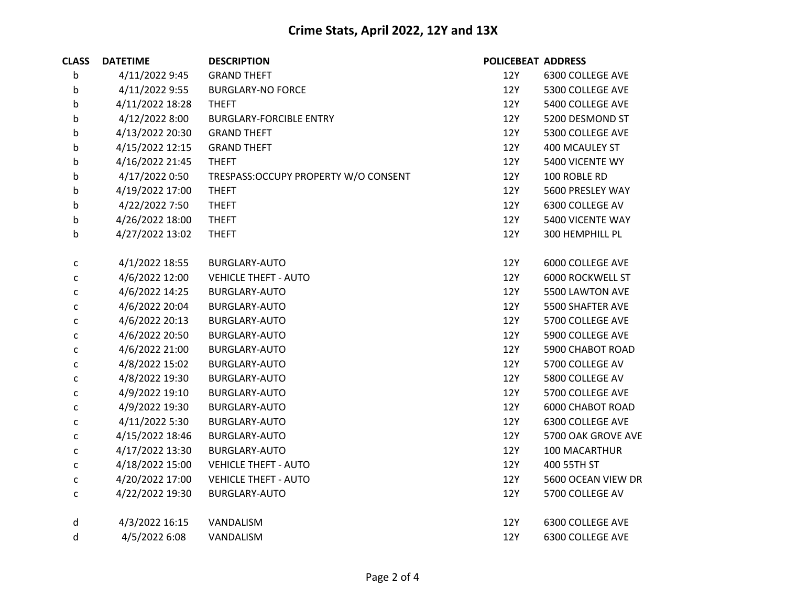| <b>CLASS</b> | <b>DATETIME</b> | <b>DESCRIPTION</b>                    | <b>POLICEBEAT ADDRESS</b> |                         |
|--------------|-----------------|---------------------------------------|---------------------------|-------------------------|
| b            | 4/11/2022 9:45  | <b>GRAND THEFT</b>                    | 12Y                       | 6300 COLLEGE AVE        |
| b            | 4/11/2022 9:55  | <b>BURGLARY-NO FORCE</b>              | 12Y                       | 5300 COLLEGE AVE        |
| b            | 4/11/2022 18:28 | <b>THEFT</b>                          | 12Y                       | 5400 COLLEGE AVE        |
| b            | 4/12/2022 8:00  | <b>BURGLARY-FORCIBLE ENTRY</b>        | 12Y                       | 5200 DESMOND ST         |
| b            | 4/13/2022 20:30 | <b>GRAND THEFT</b>                    | 12Y                       | 5300 COLLEGE AVE        |
| b            | 4/15/2022 12:15 | <b>GRAND THEFT</b>                    | 12Y                       | 400 MCAULEY ST          |
| b            | 4/16/2022 21:45 | <b>THEFT</b>                          | 12Y                       | 5400 VICENTE WY         |
| b            | 4/17/2022 0:50  | TRESPASS: OCCUPY PROPERTY W/O CONSENT | 12Y                       | 100 ROBLE RD            |
| b            | 4/19/2022 17:00 | <b>THEFT</b>                          | 12Y                       | 5600 PRESLEY WAY        |
| b            | 4/22/2022 7:50  | <b>THEFT</b>                          | 12Y                       | 6300 COLLEGE AV         |
| b            | 4/26/2022 18:00 | <b>THEFT</b>                          | 12Y                       | 5400 VICENTE WAY        |
| b            | 4/27/2022 13:02 | <b>THEFT</b>                          | 12Y                       | 300 HEMPHILL PL         |
| $\mathsf{C}$ | 4/1/2022 18:55  | BURGLARY-AUTO                         | 12Y                       | 6000 COLLEGE AVE        |
| $\mathsf{C}$ | 4/6/2022 12:00  | <b>VEHICLE THEFT - AUTO</b>           | 12Y                       | 6000 ROCKWELL ST        |
| С            | 4/6/2022 14:25  | <b>BURGLARY-AUTO</b>                  | 12Y                       | 5500 LAWTON AVE         |
| С            | 4/6/2022 20:04  | <b>BURGLARY-AUTO</b>                  | 12Y                       | 5500 SHAFTER AVE        |
| С            | 4/6/2022 20:13  | BURGLARY-AUTO                         | 12Y                       | 5700 COLLEGE AVE        |
| C            | 4/6/2022 20:50  | BURGLARY-AUTO                         | 12Y                       | 5900 COLLEGE AVE        |
| С            | 4/6/2022 21:00  | <b>BURGLARY-AUTO</b>                  | 12Y                       | 5900 CHABOT ROAD        |
| С            | 4/8/2022 15:02  | BURGLARY-AUTO                         | 12Y                       | 5700 COLLEGE AV         |
| $\mathsf{C}$ | 4/8/2022 19:30  | BURGLARY-AUTO                         | 12Y                       | 5800 COLLEGE AV         |
| С            | 4/9/2022 19:10  | BURGLARY-AUTO                         | 12Y                       | 5700 COLLEGE AVE        |
| $\mathsf{C}$ | 4/9/2022 19:30  | BURGLARY-AUTO                         | 12Y                       | <b>6000 CHABOT ROAD</b> |
| С            | 4/11/2022 5:30  | <b>BURGLARY-AUTO</b>                  | 12Y                       | 6300 COLLEGE AVE        |
| С            | 4/15/2022 18:46 | BURGLARY-AUTO                         | 12Y                       | 5700 OAK GROVE AVE      |
| $\mathsf{C}$ | 4/17/2022 13:30 | <b>BURGLARY-AUTO</b>                  | 12Y                       | 100 MACARTHUR           |
| $\mathsf{C}$ | 4/18/2022 15:00 | <b>VEHICLE THEFT - AUTO</b>           | 12Y                       | 400 55TH ST             |
| С            | 4/20/2022 17:00 | <b>VEHICLE THEFT - AUTO</b>           | 12Y                       | 5600 OCEAN VIEW DR      |
| $\mathsf{C}$ | 4/22/2022 19:30 | <b>BURGLARY-AUTO</b>                  | 12Y                       | 5700 COLLEGE AV         |
| d            | 4/3/2022 16:15  | VANDALISM                             | 12Y                       | 6300 COLLEGE AVE        |
| d            | 4/5/2022 6:08   | VANDALISM                             | 12Y                       | 6300 COLLEGE AVE        |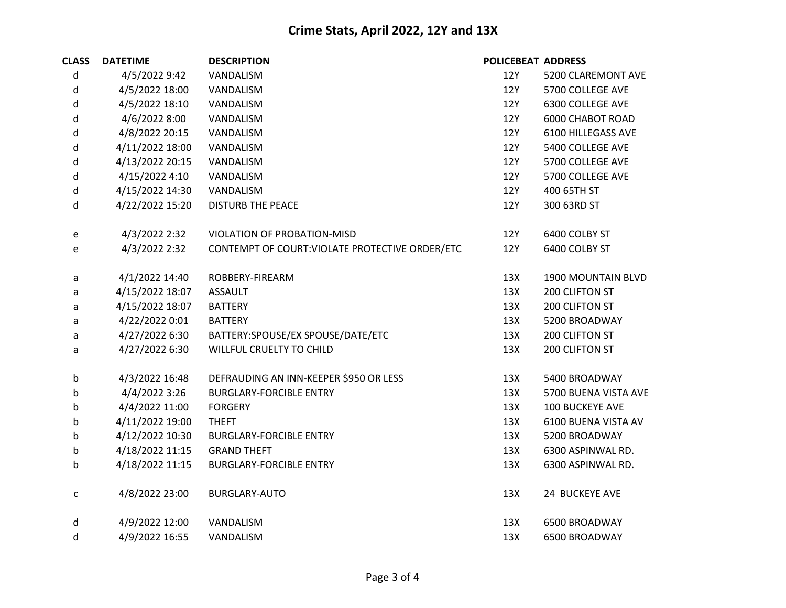| <b>CLASS</b> | <b>DATETIME</b> | <b>DESCRIPTION</b>                              | <b>POLICEBEAT ADDRESS</b> |                         |
|--------------|-----------------|-------------------------------------------------|---------------------------|-------------------------|
| d            | 4/5/2022 9:42   | VANDALISM                                       | 12Y                       | 5200 CLAREMONT AVE      |
| d            | 4/5/2022 18:00  | VANDALISM                                       | 12Y                       | 5700 COLLEGE AVE        |
| d            | 4/5/2022 18:10  | VANDALISM                                       | 12Y                       | 6300 COLLEGE AVE        |
| d            | 4/6/2022 8:00   | VANDALISM                                       | 12Y                       | <b>6000 CHABOT ROAD</b> |
| d            | 4/8/2022 20:15  | VANDALISM                                       | 12Y                       | 6100 HILLEGASS AVE      |
| d            | 4/11/2022 18:00 | VANDALISM                                       | 12Y                       | 5400 COLLEGE AVE        |
| d            | 4/13/2022 20:15 | VANDALISM                                       | <b>12Y</b>                | 5700 COLLEGE AVE        |
| d            | 4/15/2022 4:10  | VANDALISM                                       | 12Y                       | 5700 COLLEGE AVE        |
| d            | 4/15/2022 14:30 | VANDALISM                                       | 12Y                       | 400 65TH ST             |
| d            | 4/22/2022 15:20 | <b>DISTURB THE PEACE</b>                        | 12Y                       | 300 63RD ST             |
| e            | 4/3/2022 2:32   | VIOLATION OF PROBATION-MISD                     | 12Y                       | 6400 COLBY ST           |
| e            | 4/3/2022 2:32   | CONTEMPT OF COURT: VIOLATE PROTECTIVE ORDER/ETC | 12Y                       | 6400 COLBY ST           |
| a            | 4/1/2022 14:40  | ROBBERY-FIREARM                                 | 13X                       | 1900 MOUNTAIN BLVD      |
| a            | 4/15/2022 18:07 | <b>ASSAULT</b>                                  | 13X                       | 200 CLIFTON ST          |
| a            | 4/15/2022 18:07 | <b>BATTERY</b>                                  | 13X                       | 200 CLIFTON ST          |
| a            | 4/22/2022 0:01  | <b>BATTERY</b>                                  | 13X                       | 5200 BROADWAY           |
| a            | 4/27/2022 6:30  | BATTERY:SPOUSE/EX SPOUSE/DATE/ETC               | 13X                       | 200 CLIFTON ST          |
| a            | 4/27/2022 6:30  | WILLFUL CRUELTY TO CHILD                        | 13X                       | 200 CLIFTON ST          |
| b            | 4/3/2022 16:48  | DEFRAUDING AN INN-KEEPER \$950 OR LESS          | 13X                       | 5400 BROADWAY           |
| b            | 4/4/2022 3:26   | <b>BURGLARY-FORCIBLE ENTRY</b>                  | 13X                       | 5700 BUENA VISTA AVE    |
| b            | 4/4/2022 11:00  | <b>FORGERY</b>                                  | 13X                       | 100 BUCKEYE AVE         |
| b            | 4/11/2022 19:00 | <b>THEFT</b>                                    | 13X                       | 6100 BUENA VISTA AV     |
| b            | 4/12/2022 10:30 | <b>BURGLARY-FORCIBLE ENTRY</b>                  | 13X                       | 5200 BROADWAY           |
| b            | 4/18/2022 11:15 | <b>GRAND THEFT</b>                              | 13X                       | 6300 ASPINWAL RD.       |
| b            | 4/18/2022 11:15 | <b>BURGLARY-FORCIBLE ENTRY</b>                  | 13X                       | 6300 ASPINWAL RD.       |
| $\mathsf{C}$ | 4/8/2022 23:00  | <b>BURGLARY-AUTO</b>                            | 13X                       | 24 BUCKEYE AVE          |
| d            | 4/9/2022 12:00  | VANDALISM                                       | 13X                       | 6500 BROADWAY           |
| d            | 4/9/2022 16:55  | VANDALISM                                       | 13X                       | 6500 BROADWAY           |